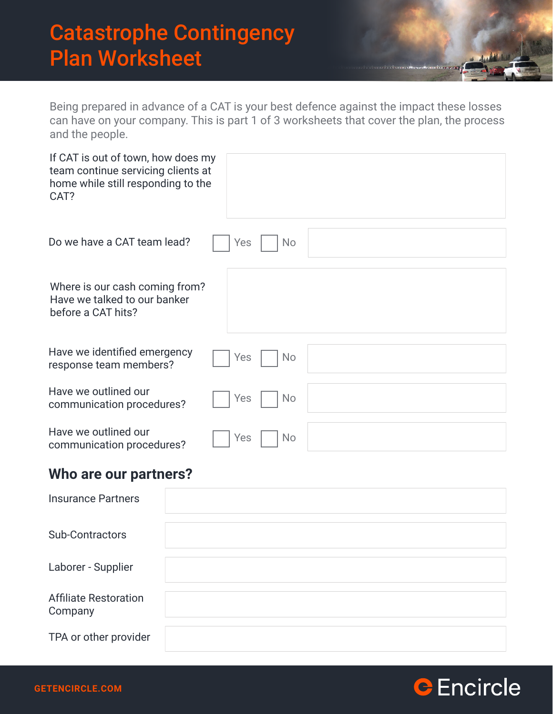### Catastrophe Contingency Plan Worksheet

Being prepared in advance of a CAT is your best defence against the impact these losses can have on your company. This is part 1 of 3 worksheets that cover the plan, the process and the people.

| If CAT is out of town, how does my<br>team continue servicing clients at<br>home while still responding to the<br>CAT? |                  |
|------------------------------------------------------------------------------------------------------------------------|------------------|
| Do we have a CAT team lead?                                                                                            | Yes<br><b>No</b> |
| Where is our cash coming from?<br>Have we talked to our banker<br>before a CAT hits?                                   |                  |
| Have we identified emergency                                                                                           | Yes              |
| response team members?                                                                                                 | <b>No</b>        |
| Have we outlined our                                                                                                   | Yes              |
| communication procedures?                                                                                              | <b>No</b>        |
| Have we outlined our                                                                                                   | Yes              |
| communication procedures?                                                                                              | <b>No</b>        |

#### **Who are our partners?**

| <b>Insurance Partners</b>               |  |
|-----------------------------------------|--|
| <b>Sub-Contractors</b>                  |  |
| Laborer - Supplier                      |  |
| <b>Affiliate Restoration</b><br>Company |  |
| TPA or other provider                   |  |

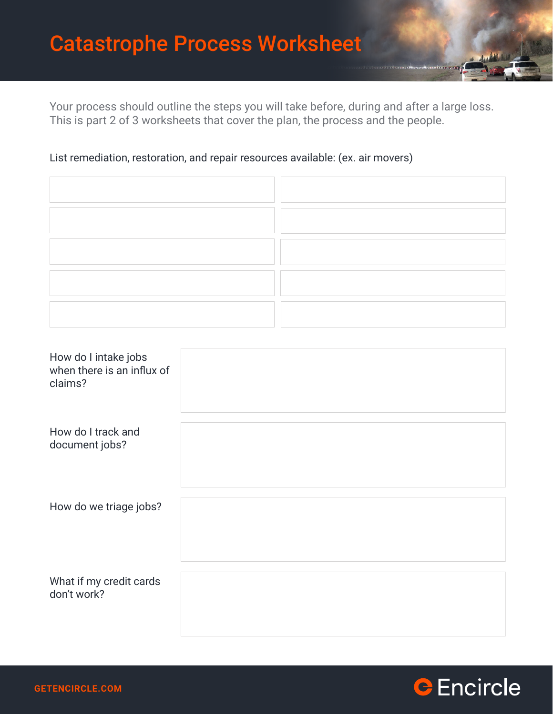### Catastrophe Process Worksheet

Your process should outline the steps you will take before, during and after a large loss. This is part 2 of 3 worksheets that cover the plan, the process and the people.

#### List remediation, restoration, and repair resources available: (ex. air movers)

| How do I intake jobs<br>when there is an influx of<br>claims? |  |
|---------------------------------------------------------------|--|
| How do I track and<br>document jobs?                          |  |
| How do we triage jobs?                                        |  |
| What if my credit cards<br>don't work?                        |  |

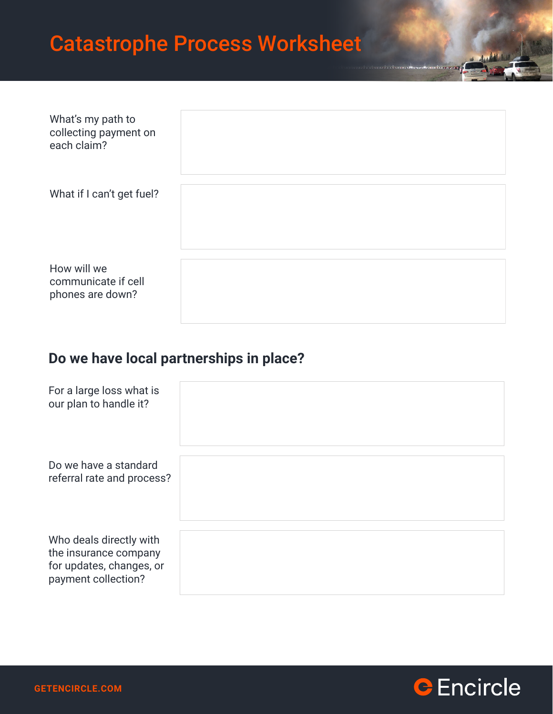## Catastrophe Process Worksheet

| What's my path to<br>collecting payment on<br>each claim? |  |
|-----------------------------------------------------------|--|
| What if I can't get fuel?                                 |  |
| How will we<br>communicate if cell<br>phones are down?    |  |

#### **Do we have local partnerships in place?**

| For a large loss what is<br>our plan to handle it?                                                  |  |
|-----------------------------------------------------------------------------------------------------|--|
| Do we have a standard<br>referral rate and process?                                                 |  |
| Who deals directly with<br>the insurance company<br>for updates, changes, or<br>payment collection? |  |

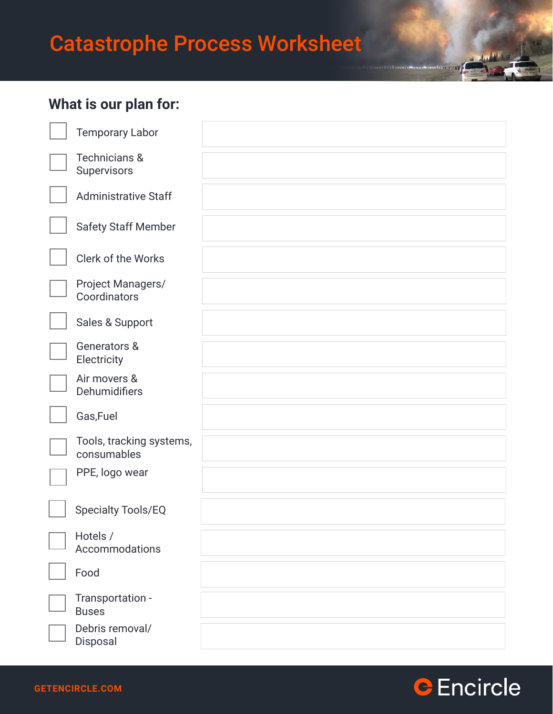# Catastrophe Process Worksheet

### **What is our plan for:**

| <b>Temporary Labor</b>                   |  |
|------------------------------------------|--|
| <b>Technicians &amp;</b><br>Supervisors  |  |
| <b>Administrative Staff</b>              |  |
| <b>Safety Staff Member</b>               |  |
| Clerk of the Works                       |  |
| <b>Project Managers/</b><br>Coordinators |  |
| Sales & Support                          |  |
| Generators &<br>Electricity              |  |
| Air movers &<br>Dehumidifiers            |  |
| Gas, Fuel                                |  |
| Tools, tracking systems,<br>consumables  |  |
| PPE, logo wear                           |  |
| <b>Specialty Tools/EQ</b>                |  |
| Hotels /<br>Accommodations               |  |
| Food                                     |  |
| Transportation -<br><b>Buses</b>         |  |
| Debris removal/<br>Disposal              |  |



as advantaged

**THE LETTER**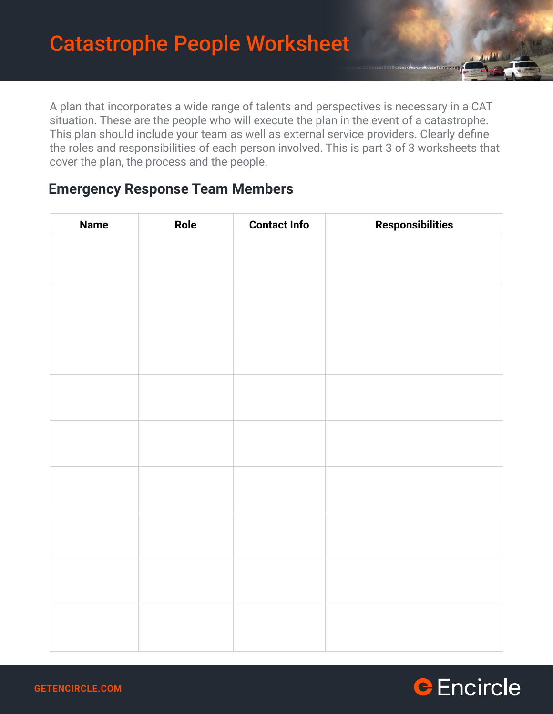A plan that incorporates a wide range of talents and perspectives is necessary in a CAT situation. These are the people who will execute the plan in the event of a catastrophe. This plan should include your team as well as external service providers. Clearly define the roles and responsibilities of each person involved. This is part 3 of 3 worksheets that cover the plan, the process and the people.

#### **Emergency Response Team Members**

| <b>Name</b> | Role | <b>Contact Info</b> | <b>Responsibilities</b> |
|-------------|------|---------------------|-------------------------|
|             |      |                     |                         |
|             |      |                     |                         |
|             |      |                     |                         |
|             |      |                     |                         |
|             |      |                     |                         |
|             |      |                     |                         |
|             |      |                     |                         |
|             |      |                     |                         |
|             |      |                     |                         |
|             |      |                     |                         |
|             |      |                     |                         |
|             |      |                     |                         |
|             |      |                     |                         |
|             |      |                     |                         |
|             |      |                     |                         |
|             |      |                     |                         |
|             |      |                     |                         |
|             |      |                     |                         |
|             |      |                     |                         |
|             |      |                     |                         |